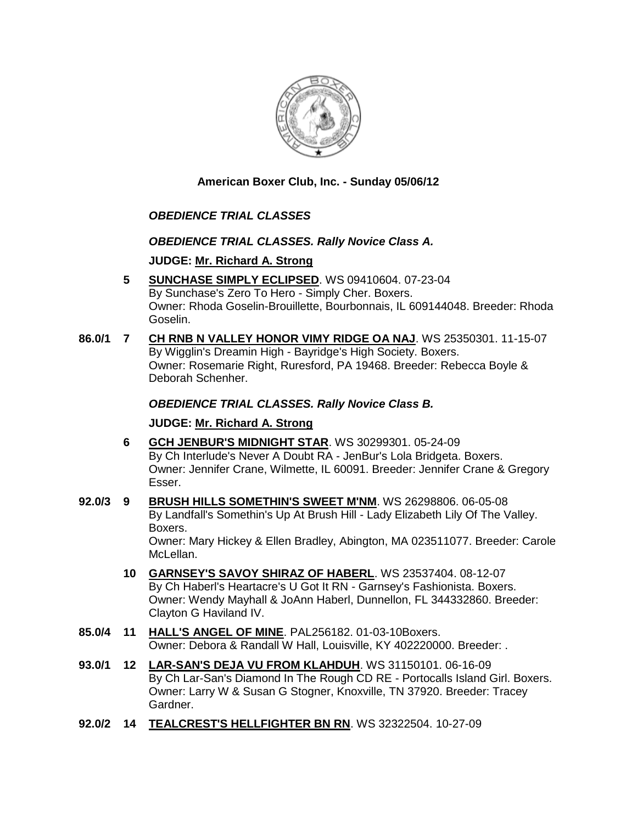

**American Boxer Club, Inc. - Sunday 05/06/12** 

# *OBEDIENCE TRIAL CLASSES*

# *OBEDIENCE TRIAL CLASSES. Rally Novice Class A.*

**JUDGE: [Mr. Richard A. Strong](http://www.infodog.com/judges/2197/juddat.htm)**

- **5 [SUNCHASE SIMPLY ECLIPSED](http://www.infodog.com/files/bdogrsl1.prg;makc=WS%2009410604;mdog=Sunchase_Simply_Eclipsed;wins=all)**. WS 09410604. 07-23-04 By Sunchase's Zero To Hero - Simply Cher. Boxers. Owner: Rhoda Goselin-Brouillette, Bourbonnais, IL 609144048. Breeder: Rhoda Goselin.
- **86.0/1 7 [CH RNB N VALLEY HONOR VIMY RIDGE OA NAJ](http://www.infodog.com/files/bdogrsl1.prg;makc=WS%2025350301;mdog=Ch_RNB_N_Valley_Honor_Vimy_Ridge_OA_NAJ;wins=all)**. WS 25350301. 11-15-07 By Wigglin's Dreamin High - Bayridge's High Society. Boxers. Owner: Rosemarie Right, Ruresford, PA 19468. Breeder: Rebecca Boyle & Deborah Schenher.

*OBEDIENCE TRIAL CLASSES. Rally Novice Class B.*

**JUDGE: [Mr. Richard A. Strong](http://www.infodog.com/judges/2197/juddat.htm)**

- **6 [GCH JENBUR'S MIDNIGHT STAR](http://www.infodog.com/files/bdogrsl1.prg;makc=WS%2030299301;mdog=GCH_JenBur_s_Midnight_Star;wins=all)**. WS 30299301. 05-24-09 By Ch Interlude's Never A Doubt RA - JenBur's Lola Bridgeta. Boxers. Owner: Jennifer Crane, Wilmette, IL 60091. Breeder: Jennifer Crane & Gregory Esser.
- **92.0/3 9 [BRUSH HILLS SOMETHIN'S SWEET M'NM](http://www.infodog.com/files/bdogrsl1.prg;makc=WS%2026298806;mdog=Brush_Hills_Somethin_s_Sweet_M_NM;wins=all)**. WS 26298806. 06-05-08 By Landfall's Somethin's Up At Brush Hill - Lady Elizabeth Lily Of The Valley. Boxers. Owner: Mary Hickey & Ellen Bradley, Abington, MA 023511077. Breeder: Carole McLellan.
	- **10 [GARNSEY'S SAVOY SHIRAZ OF HABERL](http://www.infodog.com/files/bdogrsl1.prg;makc=WS%2023537404;mdog=Garnsey_s_Savoy_Shiraz_Of_Haberl;wins=all)**. WS 23537404. 08-12-07 By Ch Haberl's Heartacre's U Got It RN - Garnsey's Fashionista. Boxers. Owner: Wendy Mayhall & JoAnn Haberl, Dunnellon, FL 344332860. Breeder: Clayton G Haviland IV.
- **85.0/4 11 [HALL'S ANGEL OF MINE](http://www.infodog.com/files/bdogrsl1.prg;makc=PAL256182;mdog=Hall_s_Angel_Of_Mine;wins=all)**. PAL256182. 01-03-10Boxers. Owner: Debora & Randall W Hall, Louisville, KY 402220000. Breeder: .
- **93.0/1 12 [LAR-SAN'S DEJA VU FROM KLAHDUH](http://www.infodog.com/files/bdogrsl1.prg;makc=WS%2031150101;mdog=Lar-San_s_Deja_Vu_From_Klahduh;wins=all)**. WS 31150101. 06-16-09 By Ch Lar-San's Diamond In The Rough CD RE - Portocalls Island Girl. Boxers. Owner: Larry W & Susan G Stogner, Knoxville, TN 37920. Breeder: Tracey Gardner.
- **92.0/2 14 [TEALCREST'S HELLFIGHTER BN RN](http://www.infodog.com/files/bdogrsl1.prg;makc=WS%2032322504;mdog=TealCrest_s_Hellfighter_BN_RN;wins=all)**. WS 32322504. 10-27-09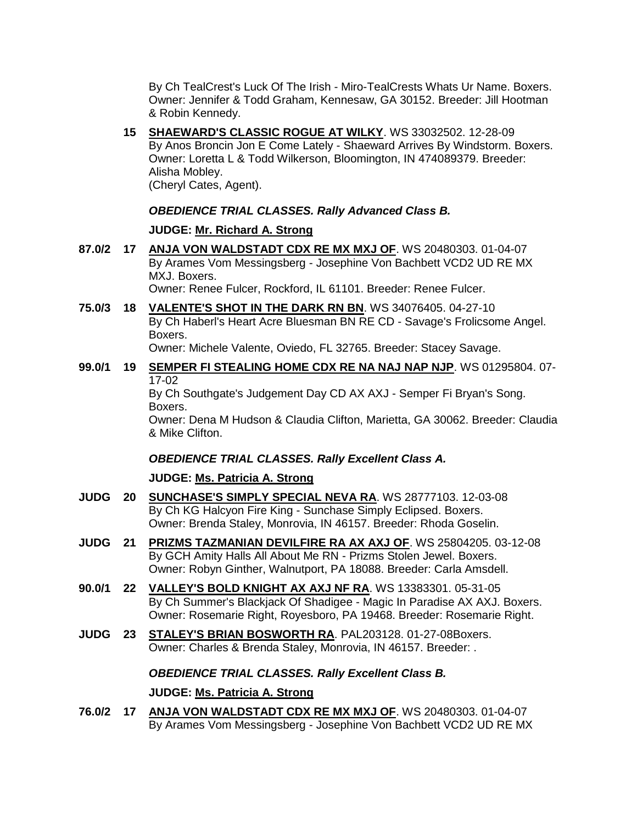By Ch TealCrest's Luck Of The Irish - Miro-TealCrests Whats Ur Name. Boxers. Owner: Jennifer & Todd Graham, Kennesaw, GA 30152. Breeder: Jill Hootman & Robin Kennedy.

**15 [SHAEWARD'S CLASSIC ROGUE AT WILKY](http://www.infodog.com/files/bdogrsl1.prg;makc=WS%2033032502;mdog=Shaeward_s_Classic_Rogue_At_Wilky;wins=all)**. WS 33032502. 12-28-09 By Anos Broncin Jon E Come Lately - Shaeward Arrives By Windstorm. Boxers. Owner: Loretta L & Todd Wilkerson, Bloomington, IN 474089379. Breeder: Alisha Mobley. (Cheryl Cates, Agent).

### *OBEDIENCE TRIAL CLASSES. Rally Advanced Class B.*

### **JUDGE: [Mr. Richard A. Strong](http://www.infodog.com/judges/2197/juddat.htm)**

- **87.0/2 17 [ANJA VON WALDSTADT CDX RE MX MXJ OF](http://www.infodog.com/files/bdogrsl1.prg;makc=WS%2020480303;mdog=Anja_Von_Waldstadt_CDX_RE_MX_MXJ_OF;wins=all)**. WS 20480303. 01-04-07 By Arames Vom Messingsberg - Josephine Von Bachbett VCD2 UD RE MX MXJ. Boxers. Owner: Renee Fulcer, Rockford, IL 61101. Breeder: Renee Fulcer.
- **75.0/3 18 [VALENTE'S SHOT IN THE DARK RN BN](http://www.infodog.com/files/bdogrsl1.prg;makc=WS%2034076405;mdog=Valente_s_Shot_In_The_Dark_RN_BN;wins=all)**. WS 34076405. 04-27-10 By Ch Haberl's Heart Acre Bluesman BN RE CD - Savage's Frolicsome Angel. Boxers.

Owner: Michele Valente, Oviedo, FL 32765. Breeder: Stacey Savage.

**99.0/1 19 [SEMPER FI STEALING HOME CDX RE NA NAJ NAP NJP](http://www.infodog.com/files/bdogrsl1.prg;makc=WS%2001295804;mdog=Semper_Fi_Stealing_Home_CDX_RE_NA_NAJ_NAP_NJP;wins=all)**. WS 01295804. 07- 17-02

By Ch Southgate's Judgement Day CD AX AXJ - Semper Fi Bryan's Song. Boxers.

Owner: Dena M Hudson & Claudia Clifton, Marietta, GA 30062. Breeder: Claudia & Mike Clifton.

# *OBEDIENCE TRIAL CLASSES. Rally Excellent Class A.*

#### **JUDGE: [Ms. Patricia A. Strong](http://www.infodog.com/judges/19096/juddat.htm)**

- **JUDG 20 [SUNCHASE'S SIMPLY SPECIAL NEVA RA](http://www.infodog.com/files/bdogrsl1.prg;makc=WS%2028777103;mdog=Sunchase_s_Simply_Special_Neva_RA;wins=all)**. WS 28777103. 12-03-08 By Ch KG Halcyon Fire King - Sunchase Simply Eclipsed. Boxers. Owner: Brenda Staley, Monrovia, IN 46157. Breeder: Rhoda Goselin.
- **JUDG 21 [PRIZMS TAZMANIAN DEVILFIRE RA AX AXJ OF](http://www.infodog.com/files/bdogrsl1.prg;makc=WS%2025804205;mdog=Prizms_Tazmanian_DevilFire_RA_AX_AXJ_OF;wins=all)**. WS 25804205. 03-12-08 By GCH Amity Halls All About Me RN - Prizms Stolen Jewel. Boxers. Owner: Robyn Ginther, Walnutport, PA 18088. Breeder: Carla Amsdell.
- **90.0/1 22 [VALLEY'S BOLD KNIGHT AX AXJ NF RA](http://www.infodog.com/files/bdogrsl1.prg;makc=WS%2013383301;mdog=Valley_s_Bold_Knight_AX_AXJ_NF_RA;wins=all)**. WS 13383301. 05-31-05 By Ch Summer's Blackjack Of Shadigee - Magic In Paradise AX AXJ. Boxers. Owner: Rosemarie Right, Royesboro, PA 19468. Breeder: Rosemarie Right.
- **JUDG 23 [STALEY'S BRIAN BOSWORTH RA](http://www.infodog.com/files/bdogrsl1.prg;makc=PAL203128;mdog=Staley_s_Brian_Bosworth_RA;wins=all)**. PAL203128. 01-27-08Boxers. Owner: Charles & Brenda Staley, Monrovia, IN 46157. Breeder: .

### *OBEDIENCE TRIAL CLASSES. Rally Excellent Class B.*

#### **JUDGE: [Ms. Patricia A. Strong](http://www.infodog.com/judges/19096/juddat.htm)**

**76.0/2 17 [ANJA VON WALDSTADT CDX RE MX MXJ OF](http://www.infodog.com/files/bdogrsl1.prg;makc=WS%2020480303;mdog=Anja_Von_Waldstadt_CDX_RE_MX_MXJ_OF;wins=all)**. WS 20480303. 01-04-07 By Arames Vom Messingsberg - Josephine Von Bachbett VCD2 UD RE MX